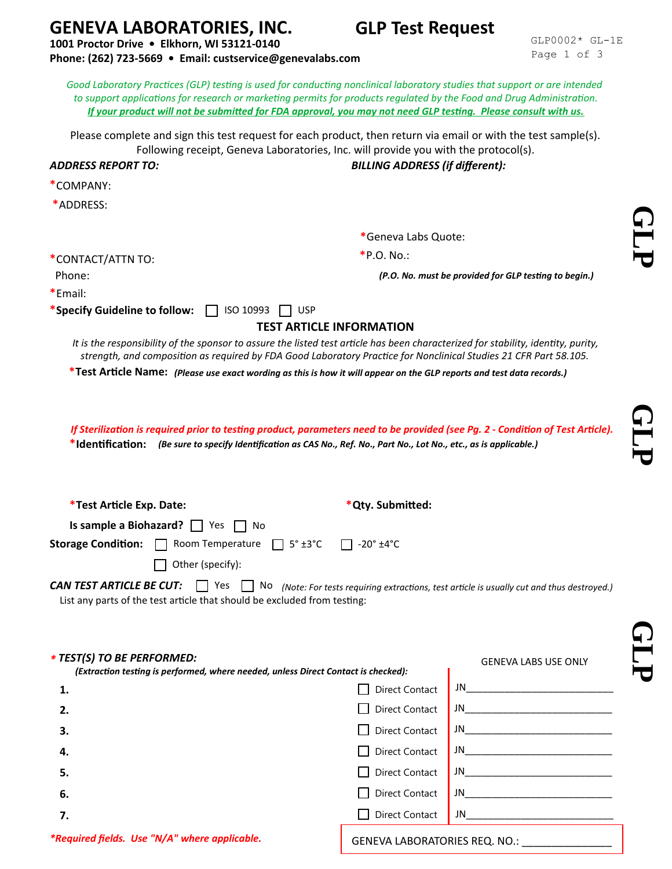## **GENEVA LABORATORIES, INC.**

**1001 Proctor Drive • Elkhorn, WI 53121-0140**

**Phone: (262) 723-5669 • Email: custservice@genevalabs.com**

GLP0002\* GL-1E Page 1 of 3

**GLP Test Request**

**G**

**L P**

**G**

**L P**

**G**

**L P**

| to support applications for research or marketing permits for products regulated by the Food and Drug Administration.<br>If your product will not be submitted for FDA approval, you may not need GLP testing. Please consult with us.                  |                                         |                                                       |                             |  |
|---------------------------------------------------------------------------------------------------------------------------------------------------------------------------------------------------------------------------------------------------------|-----------------------------------------|-------------------------------------------------------|-----------------------------|--|
| Please complete and sign this test request for each product, then return via email or with the test sample(s).<br>Following receipt, Geneva Laboratories, Inc. will provide you with the protocol(s).<br><b>ADDRESS REPORT TO:</b>                      |                                         | <b>BILLING ADDRESS (if different):</b>                |                             |  |
| *COMPANY:                                                                                                                                                                                                                                               |                                         |                                                       |                             |  |
| *ADDRESS:                                                                                                                                                                                                                                               |                                         |                                                       |                             |  |
|                                                                                                                                                                                                                                                         |                                         |                                                       |                             |  |
|                                                                                                                                                                                                                                                         |                                         | *Geneva Labs Quote:                                   |                             |  |
| *CONTACT/ATTN TO:                                                                                                                                                                                                                                       |                                         | *P.O. No.:                                            |                             |  |
| Phone:                                                                                                                                                                                                                                                  |                                         | (P.O. No. must be provided for GLP testing to begin.) |                             |  |
| *Email:<br>*Specify Guideline to follow: $\Box$<br>ISO 10993                                                                                                                                                                                            | <b>USP</b>                              |                                                       |                             |  |
|                                                                                                                                                                                                                                                         |                                         | <b>TEST ARTICLE INFORMATION</b>                       |                             |  |
| It is the responsibility of the sponsor to assure the listed test article has been characterized for stability, identity, purity,<br>strength, and composition as required by FDA Good Laboratory Practice for Nonclinical Studies 21 CFR Part 58.105.  |                                         |                                                       |                             |  |
| *Test Article Name: (Please use exact wording as this is how it will appear on the GLP reports and test data records.)                                                                                                                                  |                                         |                                                       |                             |  |
|                                                                                                                                                                                                                                                         |                                         |                                                       |                             |  |
| If Sterilization is required prior to testing product, parameters need to be provided (see Pg. 2 - Condition of Test Article).<br>*Identification: (Be sure to specify Identification as CAS No., Ref. No., Part No., Lot No., etc., as is applicable.) |                                         |                                                       |                             |  |
| *Test Article Exp. Date:                                                                                                                                                                                                                                |                                         | *Qty. Submitted:                                      |                             |  |
| Is sample a Biohazard? $\Box$ Yes<br>No                                                                                                                                                                                                                 |                                         |                                                       |                             |  |
| Room Temperature<br><b>Storage Condition:</b><br>$\mathbf{1}$                                                                                                                                                                                           | $5^\circ$ ±3 $^\circ$ C<br>$\mathbf{L}$ | $-20^\circ \pm 4^\circ C$                             |                             |  |
| Other (specify):                                                                                                                                                                                                                                        |                                         |                                                       |                             |  |
| <b>CAN TEST ARTICLE BE CUT:</b> $\Box$ Yes $\Box$ No (Note: For tests requiring extractions, test article is usually cut and thus destroyed.)<br>List any parts of the test article that should be excluded from testing:                               |                                         |                                                       |                             |  |
| * TEST(S) TO BE PERFORMED:<br>(Extraction testing is performed, where needed, unless Direct Contact is checked):                                                                                                                                        |                                         |                                                       | <b>GENEVA LABS USE ONLY</b> |  |
| 1.                                                                                                                                                                                                                                                      |                                         | <b>Direct Contact</b>                                 |                             |  |
| 2.                                                                                                                                                                                                                                                      |                                         | <b>Direct Contact</b>                                 |                             |  |
| З.                                                                                                                                                                                                                                                      |                                         | <b>Direct Contact</b>                                 |                             |  |
| 4.                                                                                                                                                                                                                                                      |                                         | <b>Direct Contact</b>                                 | $JN$                        |  |
| 5.                                                                                                                                                                                                                                                      |                                         | <b>Direct Contact</b>                                 | $JN$                        |  |
| 6.                                                                                                                                                                                                                                                      |                                         | <b>Direct Contact</b>                                 | $JN$                        |  |
| 7.                                                                                                                                                                                                                                                      |                                         | <b>Direct Contact</b>                                 | JN                          |  |
| *Required fields. Use "N/A" where applicable.                                                                                                                                                                                                           |                                         | GENEVA LABORATORIES REQ. NO.:                         |                             |  |

*Good Laboratory Practices (GLP) testing is used for conducting nonclinical laboratory studies that support or are intended*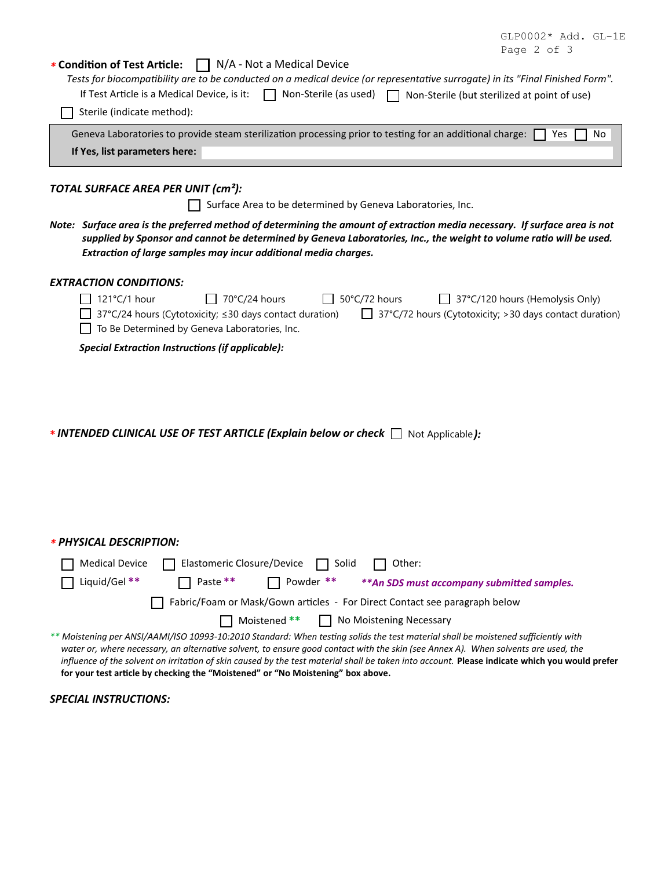|             |  | $GLP0002*$ Add. $GL-1E$ |
|-------------|--|-------------------------|
| Page 2 of 3 |  |                         |

| * Condition of Test Article:<br>$\Box$ N/A - Not a Medical Device<br>Tests for biocompatibility are to be conducted on a medical device (or representative surrogate) in its "Final Finished Form".<br>If Test Article is a Medical Device, is it:<br>Non-Sterile (as used)<br>Non-Sterile (but sterilized at point of use)                                                                                                                                                                                   |
|---------------------------------------------------------------------------------------------------------------------------------------------------------------------------------------------------------------------------------------------------------------------------------------------------------------------------------------------------------------------------------------------------------------------------------------------------------------------------------------------------------------|
| Sterile (indicate method):                                                                                                                                                                                                                                                                                                                                                                                                                                                                                    |
| Geneva Laboratories to provide steam sterilization processing prior to testing for an additional charge:<br>Yes<br>No                                                                                                                                                                                                                                                                                                                                                                                         |
| If Yes, list parameters here:                                                                                                                                                                                                                                                                                                                                                                                                                                                                                 |
|                                                                                                                                                                                                                                                                                                                                                                                                                                                                                                               |
| TOTAL SURFACE AREA PER UNIT (cm <sup>2</sup> ):                                                                                                                                                                                                                                                                                                                                                                                                                                                               |
| Surface Area to be determined by Geneva Laboratories, Inc.                                                                                                                                                                                                                                                                                                                                                                                                                                                    |
| Note: Surface area is the preferred method of determining the amount of extraction media necessary. If surface area is not<br>supplied by Sponsor and cannot be determined by Geneva Laboratories, Inc., the weight to volume ratio will be used.<br>Extraction of large samples may incur additional media charges.                                                                                                                                                                                          |
| <b>EXTRACTION CONDITIONS:</b>                                                                                                                                                                                                                                                                                                                                                                                                                                                                                 |
| 121°C/1 hour<br>70°C/24 hours<br>50°C/72 hours<br>37°C/120 hours (Hemolysis Only)<br>37°C/24 hours (Cytotoxicity; ≤30 days contact duration)<br>$\Box$ 37°C/72 hours (Cytotoxicity; > 30 days contact duration)<br>To Be Determined by Geneva Laboratories, Inc.<br><b>Special Extraction Instructions (if applicable):</b>                                                                                                                                                                                   |
| <b>*INTENDED CLINICAL USE OF TEST ARTICLE (Explain below or check <math>\Box</math></b> Not Applicable):                                                                                                                                                                                                                                                                                                                                                                                                      |
| * PHYSICAL DESCRIPTION:                                                                                                                                                                                                                                                                                                                                                                                                                                                                                       |
| <b>Medical Device</b><br>Elastomeric Closure/Device<br>Other:<br>Solid                                                                                                                                                                                                                                                                                                                                                                                                                                        |
| Liquid/Gel **<br>Paste **<br>Powder **<br>** An SDS must accompany submitted samples.                                                                                                                                                                                                                                                                                                                                                                                                                         |
| Fabric/Foam or Mask/Gown articles - For Direct Contact see paragraph below                                                                                                                                                                                                                                                                                                                                                                                                                                    |
| Moistened **<br>$\Box$ No Moistening Necessary                                                                                                                                                                                                                                                                                                                                                                                                                                                                |
| ** Moistening per ANSI/AAMI/ISO 10993-10:2010 Standard: When testing solids the test material shall be moistened sufficiently with<br>water or, where necessary, an alternative solvent, to ensure good contact with the skin (see Annex A). When solvents are used, the<br>influence of the solvent on irritation of skin caused by the test material shall be taken into account. Please indicate which you would prefer<br>for your test article by checking the "Moistened" or "No Moistening" box above. |
| <b>SPECIAL INSTRUCTIONS:</b>                                                                                                                                                                                                                                                                                                                                                                                                                                                                                  |